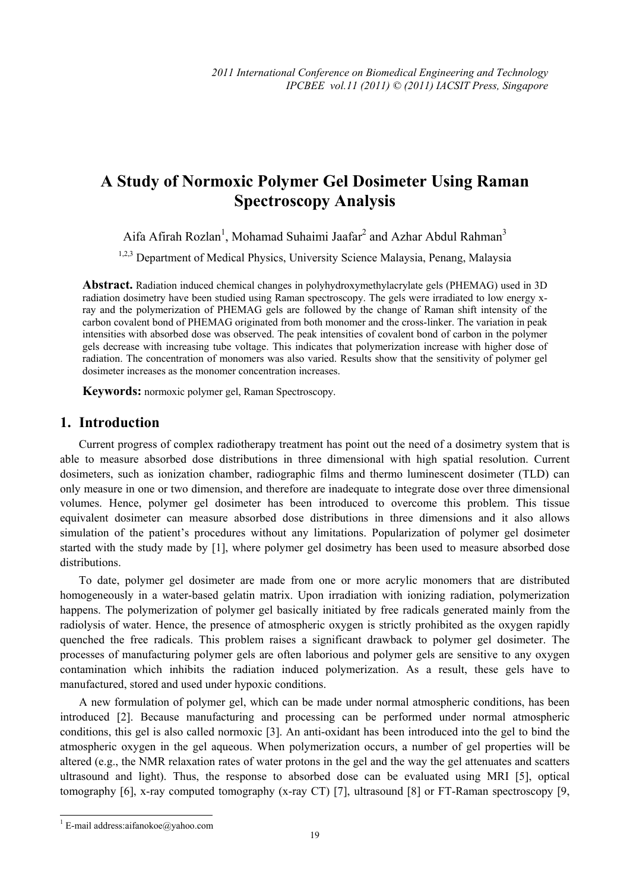# **A Study of Normoxic Polymer Gel Dosimeter Using Raman Spectroscopy Analysis**

Aifa Afirah Rozlan<sup>1</sup>, Mohamad Suhaimi Jaafar<sup>2</sup> and Azhar Abdul Rahman<sup>3</sup>

<sup>1,2,3</sup> Department of Medical Physics, University Science Malaysia, Penang, Malaysia

**Abstract.** Radiation induced chemical changes in polyhydroxymethylacrylate gels (PHEMAG) used in 3D radiation dosimetry have been studied using Raman spectroscopy. The gels were irradiated to low energy xray and the polymerization of PHEMAG gels are followed by the change of Raman shift intensity of the carbon covalent bond of PHEMAG originated from both monomer and the cross-linker. The variation in peak intensities with absorbed dose was observed. The peak intensities of covalent bond of carbon in the polymer gels decrease with increasing tube voltage. This indicates that polymerization increase with higher dose of radiation. The concentration of monomers was also varied. Results show that the sensitivity of polymer gel dosimeter increases as the monomer concentration increases.

**Keywords:** normoxic polymer gel, Raman Spectroscopy.

# **1. Introduction**

Current progress of complex radiotherapy treatment has point out the need of a dosimetry system that is able to measure absorbed dose distributions in three dimensional with high spatial resolution. Current dosimeters, such as ionization chamber, radiographic films and thermo luminescent dosimeter (TLD) can only measure in one or two dimension, and therefore are inadequate to integrate dose over three dimensional volumes. Hence, polymer gel dosimeter has been introduced to overcome this problem. This tissue equivalent dosimeter can measure absorbed dose distributions in three dimensions and it also allows simulation of the patient's procedures without any limitations. Popularization of polymer gel dosimeter started with the study made by [1], where polymer gel dosimetry has been used to measure absorbed dose distributions.

To date, polymer gel dosimeter are made from one or more acrylic monomers that are distributed homogeneously in a water-based gelatin matrix. Upon irradiation with ionizing radiation, polymerization happens. The polymerization of polymer gel basically initiated by free radicals generated mainly from the radiolysis of water. Hence, the presence of atmospheric oxygen is strictly prohibited as the oxygen rapidly quenched the free radicals. This problem raises a significant drawback to polymer gel dosimeter. The processes of manufacturing polymer gels are often laborious and polymer gels are sensitive to any oxygen contamination which inhibits the radiation induced polymerization. As a result, these gels have to manufactured, stored and used under hypoxic conditions.

A new formulation of polymer gel, which can be made under normal atmospheric conditions, has been introduced [2]. Because manufacturing and processing can be performed under normal atmospheric conditions, this gel is also called normoxic [3]. An anti-oxidant has been introduced into the gel to bind the atmospheric oxygen in the gel aqueous. When polymerization occurs, a number of gel properties will be altered (e.g., the NMR relaxation rates of water protons in the gel and the way the gel attenuates and scatters ultrasound and light). Thus, the response to absorbed dose can be evaluated using MRI [5], optical tomography [6], x-ray computed tomography (x-ray CT) [7], ultrasound [8] or FT-Raman spectroscopy [9,

 $\frac{1}{1}$ <sup>1</sup> E-mail address: aifanokoe@yahoo.com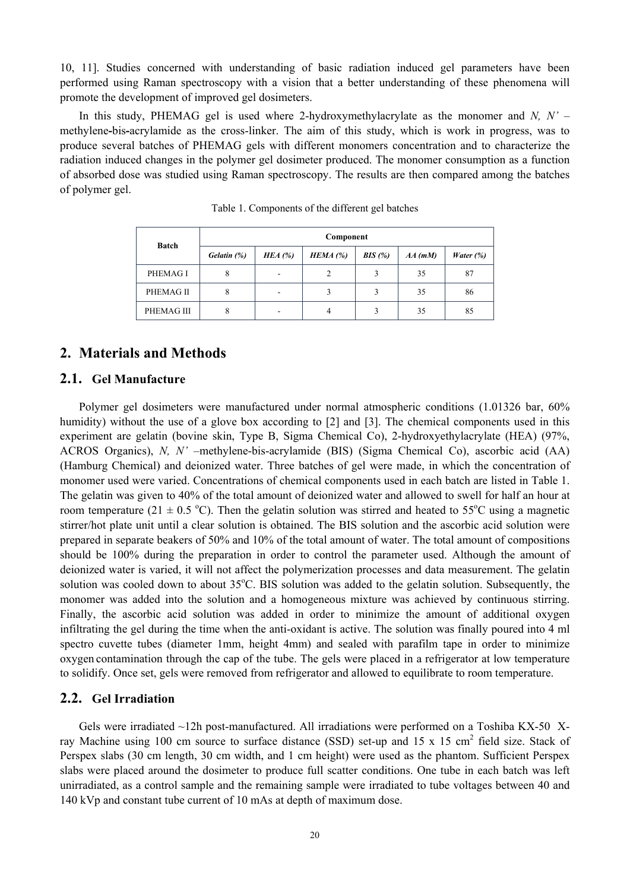10, 11]. Studies concerned with understanding of basic radiation induced gel parameters have been performed using Raman spectroscopy with a vision that a better understanding of these phenomena will promote the development of improved gel dosimeters.

In this study, PHEMAG gel is used where 2-hydroxymethylacrylate as the monomer and *N, N' –* methylene**-**bis**-**acrylamide as the cross-linker. The aim of this study, which is work in progress, was to produce several batches of PHEMAG gels with different monomers concentration and to characterize the radiation induced changes in the polymer gel dosimeter produced. The monomer consumption as a function of absorbed dose was studied using Raman spectroscopy. The results are then compared among the batches of polymer gel.

| <b>Batch</b> | Component   |           |            |        |           |                     |
|--------------|-------------|-----------|------------|--------|-----------|---------------------|
|              | Gelatin (%) | HEA $(%)$ | $HEMA$ (%) | BIS(%) | $AA$ (mM) | <i>Water</i> $(\%)$ |
| PHEMAG I     |             |           | 2          |        | 35        | 87                  |
| PHEMAG II    |             |           |            |        | 35        | 86                  |
| PHEMAG III   |             |           | 4          |        | 35        | 85                  |

Table 1. Components of the different gel batches

# **2. Materials and Methods**

## **2.1. Gel Manufacture**

Polymer gel dosimeters were manufactured under normal atmospheric conditions (1.01326 bar, 60% humidity) without the use of a glove box according to [2] and [3]. The chemical components used in this experiment are gelatin (bovine skin, Type B, Sigma Chemical Co), 2-hydroxyethylacrylate (HEA) (97%, ACROS Organics), *N, N' –*methylene-bis-acrylamide (BIS) (Sigma Chemical Co), ascorbic acid (AA) (Hamburg Chemical) and deionized water. Three batches of gel were made, in which the concentration of monomer used were varied. Concentrations of chemical components used in each batch are listed in Table 1. The gelatin was given to 40% of the total amount of deionized water and allowed to swell for half an hour at room temperature (21  $\pm$  0.5 °C). Then the gelatin solution was stirred and heated to 55°C using a magnetic stirrer/hot plate unit until a clear solution is obtained. The BIS solution and the ascorbic acid solution were prepared in separate beakers of 50% and 10% of the total amount of water. The total amount of compositions should be 100% during the preparation in order to control the parameter used. Although the amount of deionized water is varied, it will not affect the polymerization processes and data measurement. The gelatin solution was cooled down to about 35°C. BIS solution was added to the gelatin solution. Subsequently, the monomer was added into the solution and a homogeneous mixture was achieved by continuous stirring. Finally, the ascorbic acid solution was added in order to minimize the amount of additional oxygen infiltrating the gel during the time when the anti-oxidant is active. The solution was finally poured into 4 ml spectro cuvette tubes (diameter 1mm, height 4mm) and sealed with parafilm tape in order to minimize oxygen contamination through the cap of the tube. The gels were placed in a refrigerator at low temperature to solidify. Once set, gels were removed from refrigerator and allowed to equilibrate to room temperature.

#### **2.2. Gel Irradiation**

Gels were irradiated  $\sim$ 12h post-manufactured. All irradiations were performed on a Toshiba KX-50 Xray Machine using 100 cm source to surface distance (SSD) set-up and 15 x 15 cm<sup>2</sup> field size. Stack of Perspex slabs (30 cm length, 30 cm width, and 1 cm height) were used as the phantom. Sufficient Perspex slabs were placed around the dosimeter to produce full scatter conditions. One tube in each batch was left unirradiated, as a control sample and the remaining sample were irradiated to tube voltages between 40 and 140 kVp and constant tube current of 10 mAs at depth of maximum dose.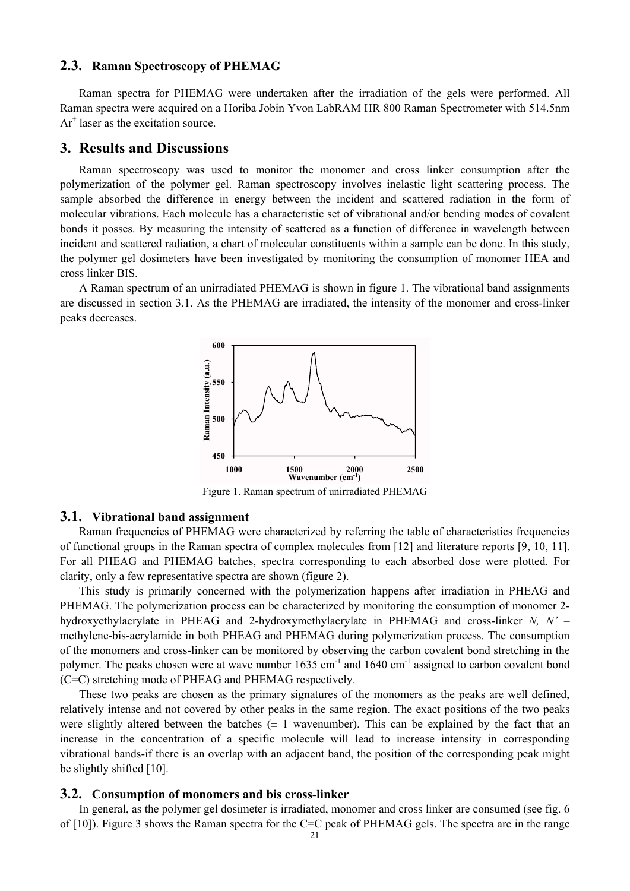#### **2.3. Raman Spectroscopy of PHEMAG**

Raman spectra for PHEMAG were undertaken after the irradiation of the gels were performed. All Raman spectra were acquired on a Horiba Jobin Yvon LabRAM HR 800 Raman Spectrometer with 514.5nm Ar<sup>+</sup> laser as the excitation source.

## **3. Results and Discussions**

Raman spectroscopy was used to monitor the monomer and cross linker consumption after the polymerization of the polymer gel. Raman spectroscopy involves inelastic light scattering process. The sample absorbed the difference in energy between the incident and scattered radiation in the form of molecular vibrations. Each molecule has a characteristic set of vibrational and/or bending modes of covalent bonds it posses. By measuring the intensity of scattered as a function of difference in wavelength between incident and scattered radiation, a chart of molecular constituents within a sample can be done. In this study, the polymer gel dosimeters have been investigated by monitoring the consumption of monomer HEA and cross linker BIS.

A Raman spectrum of an unirradiated PHEMAG is shown in figure 1. The vibrational band assignments are discussed in section 3.1. As the PHEMAG are irradiated, the intensity of the monomer and cross-linker peaks decreases.



Figure 1. Raman spectrum of unirradiated PHEMAG

#### **3.1. Vibrational band assignment**

Raman frequencies of PHEMAG were characterized by referring the table of characteristics frequencies of functional groups in the Raman spectra of complex molecules from [12] and literature reports [9, 10, 11]. For all PHEAG and PHEMAG batches, spectra corresponding to each absorbed dose were plotted. For clarity, only a few representative spectra are shown (figure 2).

This study is primarily concerned with the polymerization happens after irradiation in PHEAG and PHEMAG. The polymerization process can be characterized by monitoring the consumption of monomer 2 hydroxyethylacrylate in PHEAG and 2-hydroxymethylacrylate in PHEMAG and cross-linker *N, N' –* methylene-bis-acrylamide in both PHEAG and PHEMAG during polymerization process. The consumption of the monomers and cross-linker can be monitored by observing the carbon covalent bond stretching in the polymer. The peaks chosen were at wave number  $1635 \text{ cm}^{-1}$  and  $1640 \text{ cm}^{-1}$  assigned to carbon covalent bond (C=C) stretching mode of PHEAG and PHEMAG respectively.

These two peaks are chosen as the primary signatures of the monomers as the peaks are well defined, relatively intense and not covered by other peaks in the same region. The exact positions of the two peaks were slightly altered between the batches ( $\pm 1$  wavenumber). This can be explained by the fact that an increase in the concentration of a specific molecule will lead to increase intensity in corresponding vibrational bands-if there is an overlap with an adjacent band, the position of the corresponding peak might be slightly shifted [10].

#### **3.2. Consumption of monomers and bis cross-linker**

In general, as the polymer gel dosimeter is irradiated, monomer and cross linker are consumed (see fig. 6 of [10]). Figure 3 shows the Raman spectra for the C=C peak of PHEMAG gels. The spectra are in the range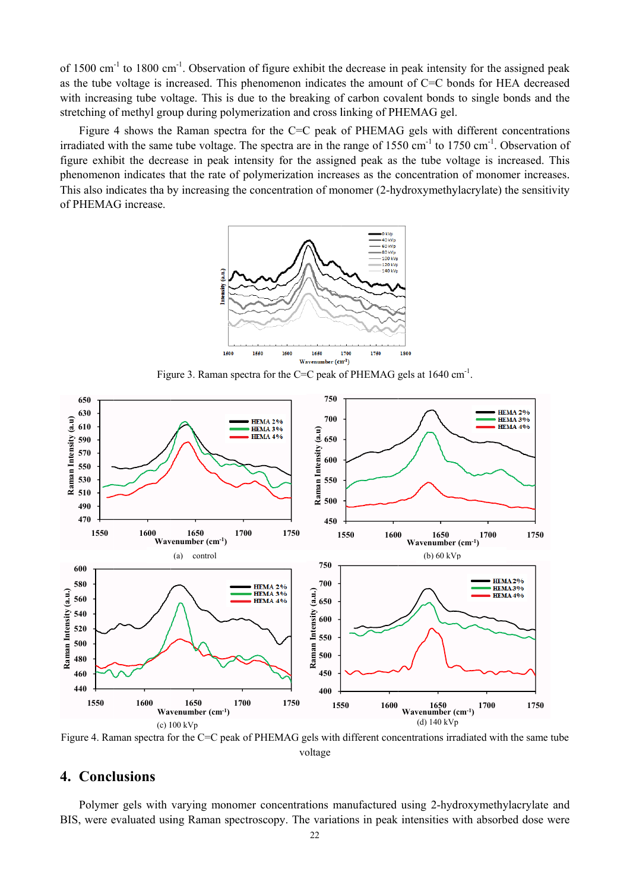of 1500 cm<sup>-1</sup> to 1800 cm<sup>-1</sup>. Observation of figure exhibit the decrease in peak intensity for the assigned peak as the tube voltage is increased. This phenomenon indicates the amount of C=C bonds for HEA decreased with increasing tube voltage. This is due to the breaking of carbon covalent bonds to single bonds and the stretching of methyl group during polymerization and cross linking of PHEMAG gel.

Figure 4 shows the Raman spectra for the C=C peak of PHEMAG gels with different concentrations irradiated with the same tube voltage. The spectra are in the range of  $1550 \text{ cm}^{-1}$  to  $1750 \text{ cm}^{-1}$ . Observation of figure exhibit the decrease in peak intensity for the assigned peak as the tube voltage is increased. This phenomenon indicates that the rate of polymerization increases as the concentration of monomer increases. This also indicates tha by increasing the concentration of monomer (2-hydroxymethylacrylate) the sensitivity of PHEMAG increase.







Figure 4. Raman spectra for the C=C peak of PHEMAG gels with different concentrations irradiated with the same tube voltage

# 4. Conclusions

Polymer gels with varying monomer concentrations manufactured using 2-hydroxymethylacrylate and BIS, were evaluated using Raman spectroscopy. The variations in peak intensities with absorbed dose were